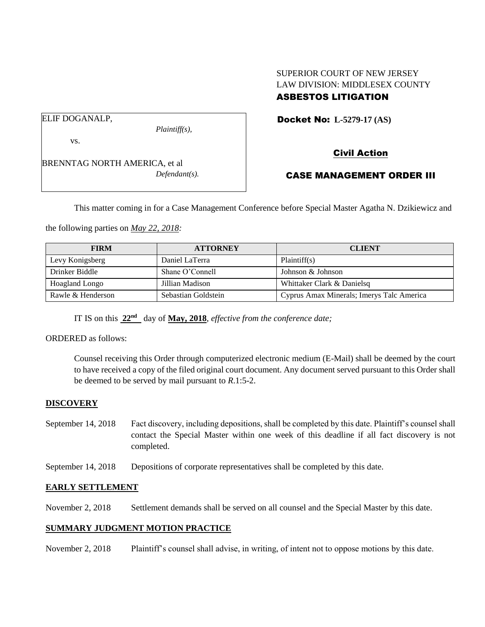# SUPERIOR COURT OF NEW JERSEY LAW DIVISION: MIDDLESEX COUNTY

# ASBESTOS LITIGATION

Docket No: **L-5279-17 (AS)** 

*Plaintiff(s),*

ELIF DOGANALP,

vs.

BRENNTAG NORTH AMERICA, et al *Defendant(s).* Civil Action

# CASE MANAGEMENT ORDER III

This matter coming in for a Case Management Conference before Special Master Agatha N. Dzikiewicz and

the following parties on *May 22, 2018:*

| <b>FIRM</b>       | <b>ATTORNEY</b>     | <b>CLIENT</b>                             |
|-------------------|---------------------|-------------------------------------------|
| Levy Konigsberg   | Daniel LaTerra      | Plaintiff(s)                              |
| Drinker Biddle    | Shane O'Connell     | Johnson & Johnson                         |
| Hoagland Longo    | Jillian Madison     | Whittaker Clark & Danielsq                |
| Rawle & Henderson | Sebastian Goldstein | Cyprus Amax Minerals; Imerys Talc America |

IT IS on this **22nd** day of **May, 2018**, *effective from the conference date;*

ORDERED as follows:

Counsel receiving this Order through computerized electronic medium (E-Mail) shall be deemed by the court to have received a copy of the filed original court document. Any document served pursuant to this Order shall be deemed to be served by mail pursuant to *R*.1:5-2.

## **DISCOVERY**

- September 14, 2018 Fact discovery, including depositions, shall be completed by this date. Plaintiff's counsel shall contact the Special Master within one week of this deadline if all fact discovery is not completed.
- September 14, 2018 Depositions of corporate representatives shall be completed by this date.

## **EARLY SETTLEMENT**

November 2, 2018 Settlement demands shall be served on all counsel and the Special Master by this date.

## **SUMMARY JUDGMENT MOTION PRACTICE**

November 2, 2018 Plaintiff's counsel shall advise, in writing, of intent not to oppose motions by this date.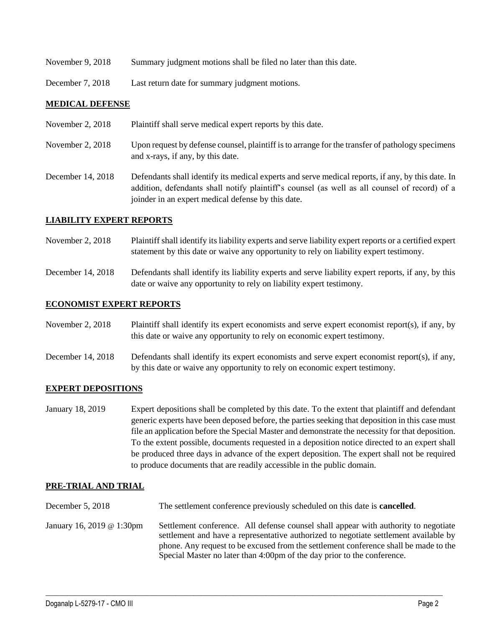- November 9, 2018 Summary judgment motions shall be filed no later than this date.
- December 7, 2018 Last return date for summary judgment motions.

#### **MEDICAL DEFENSE**

- November 2, 2018 Plaintiff shall serve medical expert reports by this date.
- November 2, 2018 Upon request by defense counsel, plaintiff is to arrange for the transfer of pathology specimens and x-rays, if any, by this date.
- December 14, 2018 Defendants shall identify its medical experts and serve medical reports, if any, by this date. In addition, defendants shall notify plaintiff's counsel (as well as all counsel of record) of a joinder in an expert medical defense by this date.

#### **LIABILITY EXPERT REPORTS**

- November 2, 2018 Plaintiff shall identify its liability experts and serve liability expert reports or a certified expert statement by this date or waive any opportunity to rely on liability expert testimony.
- December 14, 2018 Defendants shall identify its liability experts and serve liability expert reports, if any, by this date or waive any opportunity to rely on liability expert testimony.

#### **ECONOMIST EXPERT REPORTS**

- November 2, 2018 Plaintiff shall identify its expert economists and serve expert economist report(s), if any, by this date or waive any opportunity to rely on economic expert testimony.
- December 14, 2018 Defendants shall identify its expert economists and serve expert economist report(s), if any, by this date or waive any opportunity to rely on economic expert testimony.

#### **EXPERT DEPOSITIONS**

January 18, 2019 Expert depositions shall be completed by this date. To the extent that plaintiff and defendant generic experts have been deposed before, the parties seeking that deposition in this case must file an application before the Special Master and demonstrate the necessity for that deposition. To the extent possible, documents requested in a deposition notice directed to an expert shall be produced three days in advance of the expert deposition. The expert shall not be required to produce documents that are readily accessible in the public domain.

#### **PRE-TRIAL AND TRIAL**

- December 5, 2018 The settlement conference previously scheduled on this date is **cancelled**.
- January 16, 2019 @ 1:30pm Settlement conference. All defense counsel shall appear with authority to negotiate settlement and have a representative authorized to negotiate settlement available by phone. Any request to be excused from the settlement conference shall be made to the Special Master no later than 4:00pm of the day prior to the conference.

 $\_$  ,  $\_$  ,  $\_$  ,  $\_$  ,  $\_$  ,  $\_$  ,  $\_$  ,  $\_$  ,  $\_$  ,  $\_$  ,  $\_$  ,  $\_$  ,  $\_$  ,  $\_$  ,  $\_$  ,  $\_$  ,  $\_$  ,  $\_$  ,  $\_$  ,  $\_$  ,  $\_$  ,  $\_$  ,  $\_$  ,  $\_$  ,  $\_$  ,  $\_$  ,  $\_$  ,  $\_$  ,  $\_$  ,  $\_$  ,  $\_$  ,  $\_$  ,  $\_$  ,  $\_$  ,  $\_$  ,  $\_$  ,  $\_$  ,